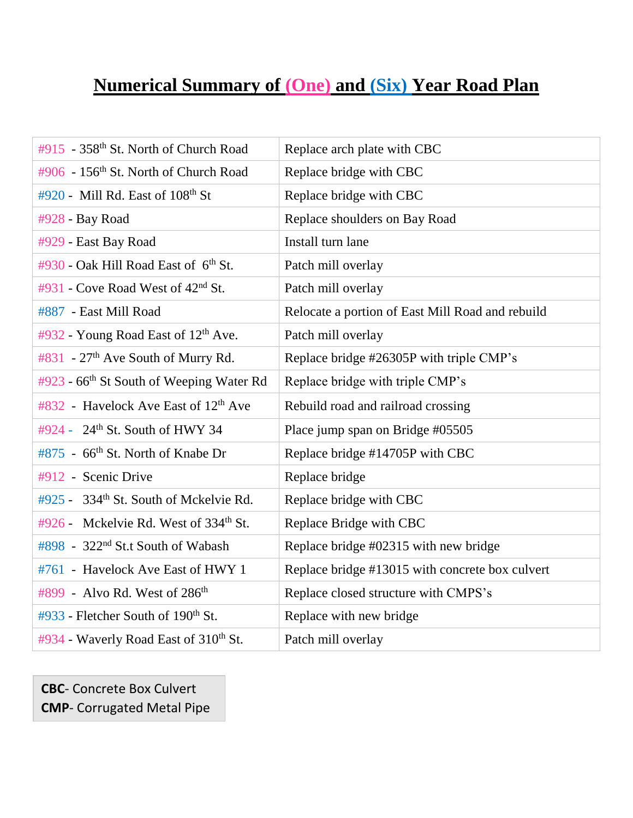## **Numerical Summary of (One) and (Six) Year Road Plan**

| #915 - 358 <sup>th</sup> St. North of Church Road    | Replace arch plate with CBC                      |
|------------------------------------------------------|--------------------------------------------------|
| #906 - 156 <sup>th</sup> St. North of Church Road    | Replace bridge with CBC                          |
| #920 - Mill Rd. East of 108th St                     | Replace bridge with CBC                          |
| #928 - Bay Road                                      | Replace shoulders on Bay Road                    |
| #929 - East Bay Road                                 | Install turn lane                                |
| #930 - Oak Hill Road East of 6th St.                 | Patch mill overlay                               |
| #931 - Cove Road West of $42nd$ St.                  | Patch mill overlay                               |
| #887 - East Mill Road                                | Relocate a portion of East Mill Road and rebuild |
| #932 - Young Road East of 12 <sup>th</sup> Ave.      | Patch mill overlay                               |
| #831 - 27 <sup>th</sup> Ave South of Murry Rd.       | Replace bridge #26305P with triple CMP's         |
| #923 - 66 <sup>th</sup> St South of Weeping Water Rd | Replace bridge with triple CMP's                 |
|                                                      |                                                  |
| #832 - Havelock Ave East of 12 <sup>th</sup> Ave     | Rebuild road and railroad crossing               |
| #924 - 24 <sup>th</sup> St. South of HWY 34          | Place jump span on Bridge #05505                 |
| #875 - 66 <sup>th</sup> St. North of Knabe Dr        | Replace bridge #14705P with CBC                  |
| #912 - Scenic Drive                                  | Replace bridge                                   |
| #925 - 334 <sup>th</sup> St. South of Mckelvie Rd.   | Replace bridge with CBC                          |
| #926 - Mckelvie Rd. West of 334 <sup>th</sup> St.    | Replace Bridge with CBC                          |
| #898 - 322 <sup>nd</sup> St.t South of Wabash        | Replace bridge #02315 with new bridge            |
| #761 - Havelock Ave East of HWY 1                    | Replace bridge #13015 with concrete box culvert  |
| #899 - Alvo Rd. West of 286 <sup>th</sup>            | Replace closed structure with CMPS's             |
| #933 - Fletcher South of 190 <sup>th</sup> St.       | Replace with new bridge                          |

**CBC**- Concrete Box Culvert **CMP**- Corrugated Metal Pipe